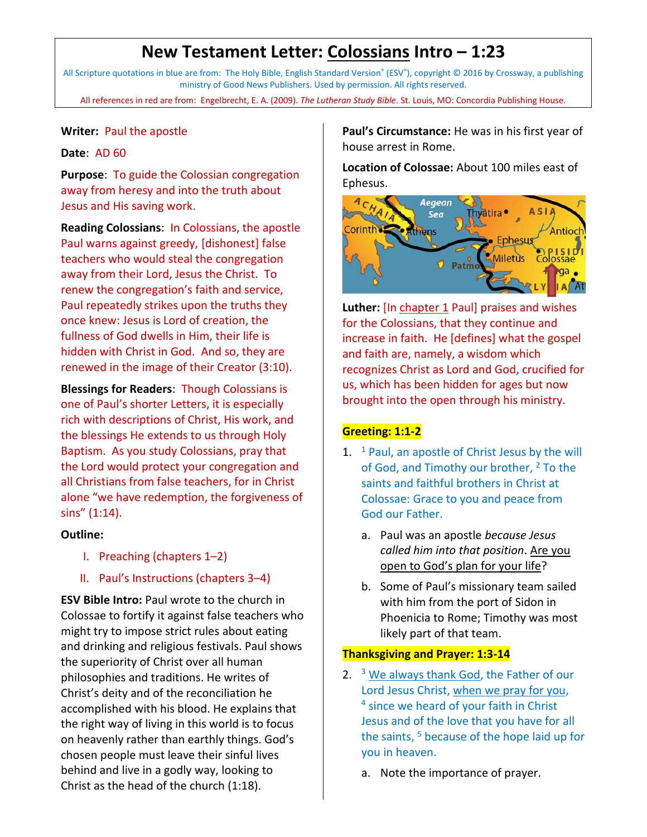# **New Testament Letter: Colossians Intro – 1:23**

All Scripture quotations in blue are from: The Holy Bible, English Standard Version® (ESV®), copyright © 2016 by Crossway, a publishing ministry of Good News Publishers. Used by permission. All rights reserved.

All references in red are from: Engelbrecht, E. A. (2009). *The Lutheran Study Bible*. St. Louis, MO: Concordia Publishing House.

#### **Writer:** Paul the apostle

**Date**: AD 60

**Purpose**: To guide the Colossian congregation away from heresy and into the truth about Jesus and His saving work.

**Reading Colossians**: In Colossians, the apostle Paul warns against greedy, [dishonest] false teachers who would steal the congregation away from their Lord, Jesus the Christ. To renew the congregation's faith and service, Paul repeatedly strikes upon the truths they once knew: Jesus is Lord of creation, the fullness of God dwells in Him, their life is hidden with Christ in God. And so, they are renewed in the image of their Creator (3:10).

**Blessings for Readers**: Though Colossians is one of Paul's shorter Letters, it is especially rich with descriptions of Christ, His work, and the blessings He extends to us through Holy Baptism. As you study Colossians, pray that the Lord would protect your congregation and all Christians from false teachers, for in Christ alone "we have redemption, the forgiveness of sins" (1:14).

### **Outline:**

I. Preaching (chapters 1–2)

### II. Paul's Instructions (chapters 3–4)

**ESV Bible Intro:** Paul wrote to the church in Colossae to fortify it against false teachers who might try to impose strict rules about eating and drinking and religious festivals. Paul shows the superiority of Christ over all human philosophies and traditions. He writes of Christ's deity and of the reconciliation he accomplished with his blood. He explains that the right way of living in this world is to focus on heavenly rather than earthly things. God's chosen people must leave their sinful lives behind and live in a godly way, looking to Christ as the head of the church (1:18).

**Paul's Circumstance:** He was in his first year of house arrest in Rome.

**Location of Colossae:** About 100 miles east of Ephesus.



**Luther:** [In chapter 1 Paul] praises and wishes for the Colossians, that they continue and increase in faith. He [defines] what the gospel and faith are, namely, a wisdom which recognizes Christ as Lord and God, crucified for us, which has been hidden for ages but now brought into the open through his ministry.

### **Greeting: 1:1-2**

- 1.  $1$  Paul, an apostle of Christ Jesus by the will of God, and Timothy our brother, <sup>2</sup> To the saints and faithful brothers in Christ at Colossae: Grace to you and peace from God our Father.
	- a. Paul was an apostle *because Jesus called him into that position*. Are you open to God's plan for your life?
	- b. Some of Paul's missionary team sailed with him from the port of Sidon in Phoenicia to Rome; Timothy was most likely part of that team.

### **Thanksgiving and Prayer: 1:3-14**

- 2.  $3$  We always thank God, the Father of our Lord Jesus Christ, when we pray for you, <sup>4</sup> since we heard of your faith in Christ Jesus and of the love that you have for all the saints, <sup>5</sup> because of the hope laid up for you in heaven.
	- a. Note the importance of prayer.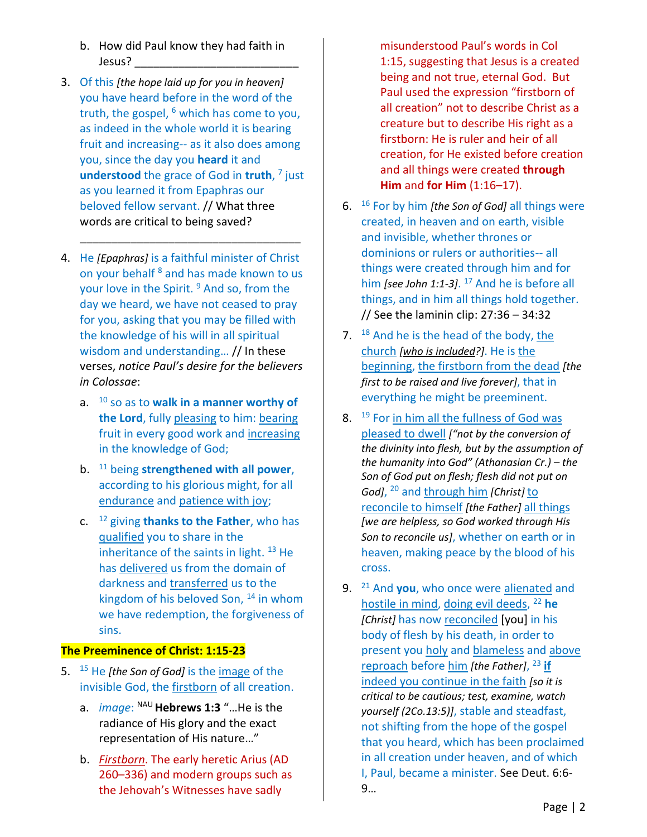- b. How did Paul know they had faith in Jesus? \_\_\_\_\_\_\_\_\_\_\_\_\_\_\_\_\_\_\_\_\_\_\_\_\_\_
- 3. Of this *[the hope laid up for you in heaven]* you have heard before in the word of the truth, the gospel,  $6$  which has come to you, as indeed in the whole world it is bearing fruit and increasing-- as it also does among you, since the day you **heard** it and **understood** the grace of God in **truth**, 7 just as you learned it from Epaphras our beloved fellow servant. // What three words are critical to being saved?
- 4. He *[Epaphras]* is a faithful minister of Christ on your behalf <sup>8</sup> and has made known to us your love in the Spirit. <sup>9</sup> And so, from the day we heard, we have not ceased to pray for you, asking that you may be filled with the knowledge of his will in all spiritual wisdom and understanding… // In these verses, *notice Paul's desire for the believers in Colossae*:

\_\_\_\_\_\_\_\_\_\_\_\_\_\_\_\_\_\_\_\_\_\_\_\_\_\_\_\_\_\_\_\_\_\_\_

- a. <sup>10</sup> so as to **walk in a manner worthy of**  the Lord, fully pleasing to him: bearing fruit in every good work and increasing in the knowledge of God;
- b. <sup>11</sup> being **strengthened with all power**, according to his glorious might, for all endurance and patience with joy;
- c. <sup>12</sup> giving **thanks to the Father**, who has qualified you to share in the inheritance of the saints in light.  $13$  He has delivered us from the domain of darkness and transferred us to the kingdom of his beloved Son,  $14$  in whom we have redemption, the forgiveness of sins.

### **The Preeminence of Christ: 1:15-23**

- 5. <sup>15</sup> He *[the Son of God]* is the image of the invisible God, the firstborn of all creation.
	- a. *image*: NAU **Hebrews 1:3** "…He is the radiance of His glory and the exact representation of His nature…"
	- b. *Firstborn*. The early heretic Arius (AD 260–336) and modern groups such as the Jehovah's Witnesses have sadly

misunderstood Paul's words in Col 1:15, suggesting that Jesus is a created being and not true, eternal God. But Paul used the expression "firstborn of all creation" not to describe Christ as a creature but to describe His right as a firstborn: He is ruler and heir of all creation, for He existed before creation and all things were created **through Him** and **for Him** (1:16–17).

- 6. <sup>16</sup> For by him *[the Son of God]* all things were created, in heaven and on earth, visible and invisible, whether thrones or dominions or rulers or authorities-- all things were created through him and for him *[see John 1:1-3]*. <sup>17</sup> And he is before all things, and in him all things hold together. // See the laminin clip: 27:36 – 34:32
- 7. <sup>18</sup> And he is the head of the body, the church *[who is included?]*. He is the beginning, the firstborn from the dead *[the first to be raised and live forever]*, that in everything he might be preeminent.
- 8. <sup>19</sup> For in him all the fullness of God was pleased to dwell *["not by the conversion of the divinity into flesh, but by the assumption of the humanity into God" (Athanasian Cr.) – the Son of God put on flesh; flesh did not put on God]*, <sup>20</sup> and through him *[Christ]* to reconcile to himself *[the Father]* all things *[we are helpless, so God worked through His Son to reconcile us]*, whether on earth or in heaven, making peace by the blood of his cross.
- 9. <sup>21</sup> And **you**, who once were alienated and hostile in mind, doing evil deeds, <sup>22</sup> **he** *[Christ]* has now reconciled [you] in his body of flesh by his death, in order to present you holy and blameless and above reproach before him *[the Father]*, <sup>23</sup> **if** indeed you continue in the faith *[so it is critical to be cautious; test, examine, watch yourself (2Co.13:5)]*, stable and steadfast, not shifting from the hope of the gospel that you heard, which has been proclaimed in all creation under heaven, and of which I, Paul, became a minister. See Deut. 6:6- 9…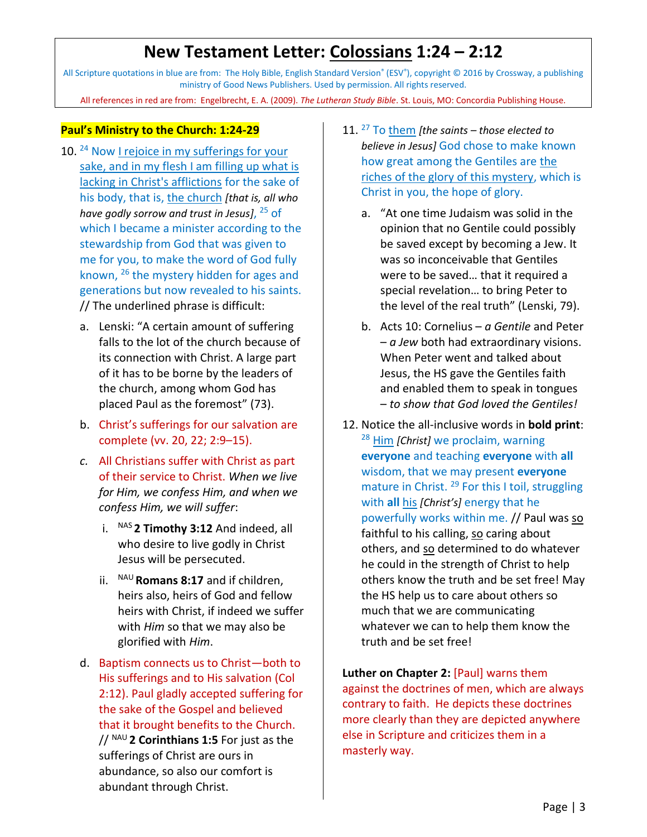# **New Testament Letter: Colossians 1:24 – 2:12**

All Scripture quotations in blue are from: The Holy Bible, English Standard Version® (ESV®), copyright © 2016 by Crossway, a publishing ministry of Good News Publishers. Used by permission. All rights reserved.

All references in red are from: Engelbrecht, E. A. (2009). *The Lutheran Study Bible*. St. Louis, MO: Concordia Publishing House.

#### **Paul's Ministry to the Church: 1:24-29**

- 10. <sup>24</sup> Now I rejoice in my sufferings for your sake, and in my flesh I am filling up what is lacking in Christ's afflictions for the sake of his body, that is, the church *[that is, all who have godly sorrow and trust in Jesus]*, <sup>25</sup> of which I became a minister according to the stewardship from God that was given to me for you, to make the word of God fully known, <sup>26</sup> the mystery hidden for ages and generations but now revealed to his saints. // The underlined phrase is difficult:
	- a. Lenski: "A certain amount of suffering falls to the lot of the church because of its connection with Christ. A large part of it has to be borne by the leaders of the church, among whom God has placed Paul as the foremost" (73).
	- b. Christ's sufferings for our salvation are complete (vv. 20, 22; 2:9–15).
	- *c.* All Christians suffer with Christ as part of their service to Christ. *When we live for Him, we confess Him, and when we confess Him, we will suffer*:
		- i. NAS **2 Timothy 3:12** And indeed, all who desire to live godly in Christ Jesus will be persecuted.
		- ii. NAU **Romans 8:17** and if children, heirs also, heirs of God and fellow heirs with Christ, if indeed we suffer with *Him* so that we may also be glorified with *Him*.
	- d. Baptism connects us to Christ—both to His sufferings and to His salvation (Col 2:12). Paul gladly accepted suffering for the sake of the Gospel and believed that it brought benefits to the Church. // NAU **2 Corinthians 1:5** For just as the sufferings of Christ are ours in abundance, so also our comfort is abundant through Christ.
- 11. <sup>27</sup> To them *[the saints – those elected to believe in Jesus]* God chose to make known how great among the Gentiles are the riches of the glory of this mystery, which is Christ in you, the hope of glory.
	- a. "At one time Judaism was solid in the opinion that no Gentile could possibly be saved except by becoming a Jew. It was so inconceivable that Gentiles were to be saved… that it required a special revelation… to bring Peter to the level of the real truth" (Lenski, 79).
	- b. Acts 10: Cornelius *a Gentile* and Peter – *a Jew* both had extraordinary visions. When Peter went and talked about Jesus, the HS gave the Gentiles faith and enabled them to speak in tongues – *to show that God loved the Gentiles!*
- 12. Notice the all-inclusive words in **bold print**: <sup>28</sup> Him *[Christ]* we proclaim, warning **everyone** and teaching **everyone** with **all** wisdom, that we may present **everyone** mature in Christ.<sup>29</sup> For this I toil, struggling with **all** his *[Christ's]* energy that he powerfully works within me. // Paul was so faithful to his calling, so caring about others, and so determined to do whatever he could in the strength of Christ to help others know the truth and be set free! May the HS help us to care about others so much that we are communicating whatever we can to help them know the truth and be set free!

**Luther on Chapter 2:** [Paul] warns them against the doctrines of men, which are always contrary to faith. He depicts these doctrines more clearly than they are depicted anywhere else in Scripture and criticizes them in a masterly way.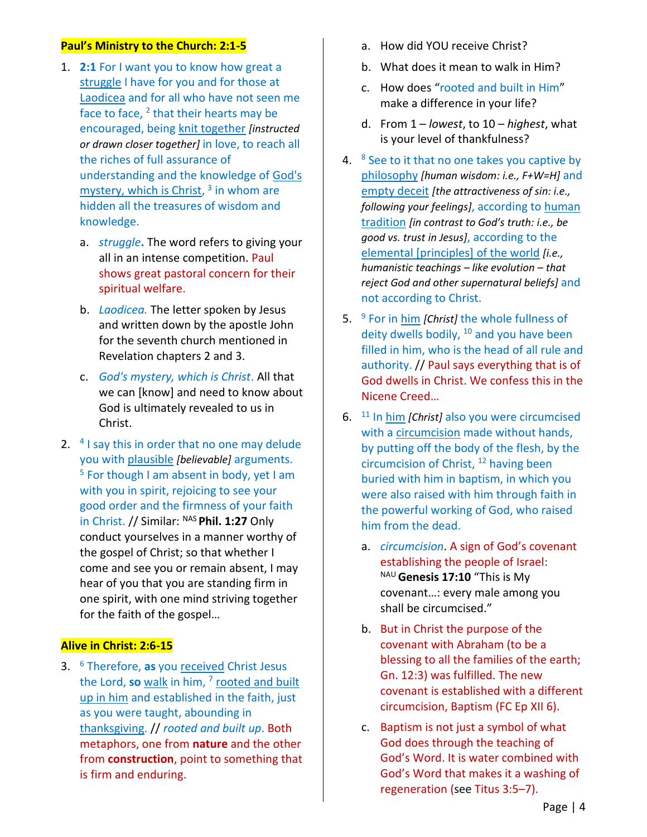### **Paul's Ministry to the Church: 2:1-5**

- 1. **2:1** For I want you to know how great a struggle I have for you and for those at Laodicea and for all who have not seen me face to face, <sup>2</sup> that their hearts may be encouraged, being knit together *[instructed or drawn closer together]* in love, to reach all the riches of full assurance of understanding and the knowledge of God's mystery, which is Christ, <sup>3</sup> in whom are hidden all the treasures of wisdom and knowledge.
	- a. *struggle***.** The word refers to giving your all in an intense competition. Paul shows great pastoral concern for their spiritual welfare.
	- b. *Laodicea.* The letter spoken by Jesus and written down by the apostle John for the seventh church mentioned in Revelation chapters 2 and 3.
	- c. *God's mystery, which is Christ*. All that we can [know] and need to know about God is ultimately revealed to us in Christ.
- 2.  $4$  I say this in order that no one may delude you with plausible *[believable]* arguments.  $5$  For though I am absent in body, yet I am with you in spirit, rejoicing to see your good order and the firmness of your faith in Christ. // Similar: NAS **Phil. 1:27** Only conduct yourselves in a manner worthy of the gospel of Christ; so that whether I come and see you or remain absent, I may hear of you that you are standing firm in one spirit, with one mind striving together for the faith of the gospel…

### **Alive in Christ: 2:6-15**

3. <sup>6</sup> Therefore, **as** you received Christ Jesus the Lord, so walk in him, <sup>7</sup> rooted and built up in him and established in the faith, just as you were taught, abounding in thanksgiving. // *rooted and built up*. Both metaphors, one from **nature** and the other from **construction**, point to something that is firm and enduring.

- a. How did YOU receive Christ?
- b. What does it mean to walk in Him?
- c. How does "rooted and built in Him" make a difference in your life?
- d. From 1 *lowest*, to 10 *highest*, what is your level of thankfulness?
- 4. <sup>8</sup> See to it that no one takes you captive by philosophy *[human wisdom: i.e., F+W=H]* and empty deceit *[the attractiveness of sin: i.e., following your feelings]*, according to human tradition *[in contrast to God's truth: i.e., be good vs. trust in Jesus]*, according to the elemental [principles] of the world *[i.e., humanistic teachings – like evolution – that reject God and other supernatural beliefs]* and not according to Christ.
- 5. <sup>9</sup> For in him *[Christ]* the whole fullness of deity dwells bodily,  $10$  and you have been filled in him, who is the head of all rule and authority. // Paul says everything that is of God dwells in Christ. We confess this in the Nicene Creed…
- 6. <sup>11</sup> In him *[Christ]* also you were circumcised with a circumcision made without hands, by putting off the body of the flesh, by the circumcision of Christ, <sup>12</sup> having been buried with him in baptism, in which you were also raised with him through faith in the powerful working of God, who raised him from the dead.
	- a. *circumcision*. A sign of God's covenant establishing the people of Israel: NAU **Genesis 17:10** "This is My covenant…: every male among you shall be circumcised."
	- b. But in Christ the purpose of the covenant with Abraham (to be a blessing to all the families of the earth; Gn. 12:3) was fulfilled. The new covenant is established with a different circumcision, Baptism (FC Ep XII 6).
	- c. Baptism is not just a symbol of what God does through the teaching of God's Word. It is water combined with God's Word that makes it a washing of regeneration (see Titus 3:5–7).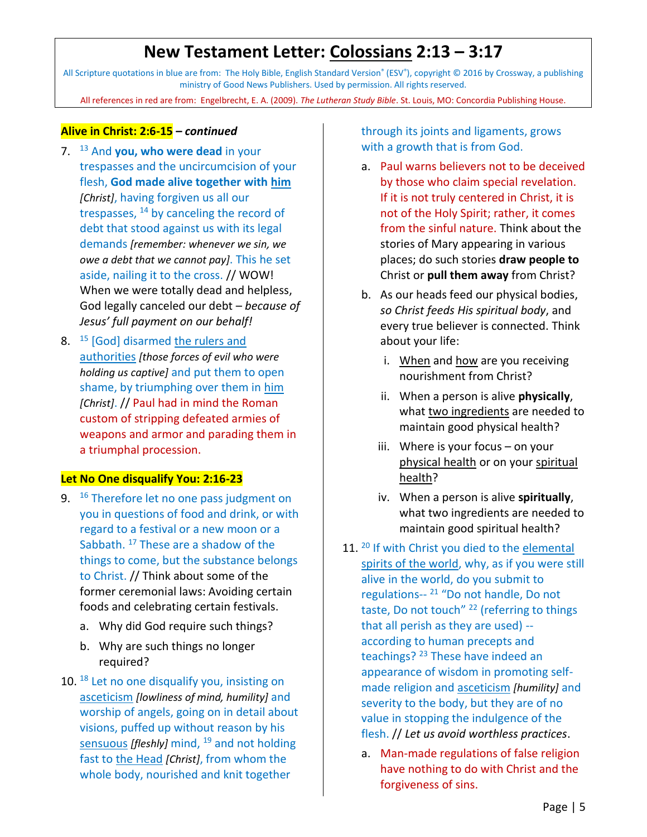# **New Testament Letter: Colossians 2:13 – 3:17**

All Scripture quotations in blue are from: The Holy Bible, English Standard Version® (ESV®), copyright © 2016 by Crossway, a publishing ministry of Good News Publishers. Used by permission. All rights reserved.

All references in red are from: Engelbrecht, E. A. (2009). *The Lutheran Study Bible*. St. Louis, MO: Concordia Publishing House.

### **Alive in Christ: 2:6-15 –** *continued*

- 7. <sup>13</sup> And **you, who were dead** in your trespasses and the uncircumcision of your flesh, **God made alive together with him** *[Christ]*, having forgiven us all our trespasses,  $^{14}$  by canceling the record of debt that stood against us with its legal demands *[remember: whenever we sin, we owe a debt that we cannot pay]*. This he set aside, nailing it to the cross. // WOW! When we were totally dead and helpless, God legally canceled our debt – *because of Jesus' full payment on our behalf!*
- 8. <sup>15</sup> [God] disarmed the rulers and authorities *[those forces of evil who were holding us captive]* and put them to open shame, by triumphing over them in him *[Christ]*. // Paul had in mind the Roman custom of stripping defeated armies of weapons and armor and parading them in a triumphal procession.

### **Let No One disqualify You: 2:16-23**

- 9.  $16$  Therefore let no one pass judgment on you in questions of food and drink, or with regard to a festival or a new moon or a Sabbath. <sup>17</sup> These are a shadow of the things to come, but the substance belongs to Christ. // Think about some of the former ceremonial laws: Avoiding certain foods and celebrating certain festivals.
	- a. Why did God require such things?
	- b. Why are such things no longer required?
- 10. <sup>18</sup> Let no one disqualify you, insisting on asceticism *[lowliness of mind, humility]* and worship of angels, going on in detail about visions, puffed up without reason by his sensuous [fleshly] mind, <sup>19</sup> and not holding fast to the Head *[Christ]*, from whom the whole body, nourished and knit together

through its joints and ligaments, grows with a growth that is from God.

- a. Paul warns believers not to be deceived by those who claim special revelation. If it is not truly centered in Christ, it is not of the Holy Spirit; rather, it comes from the sinful nature. Think about the stories of Mary appearing in various places; do such stories **draw people to** Christ or **pull them away** from Christ?
- b. As our heads feed our physical bodies, *so Christ feeds His spiritual body*, and every true believer is connected. Think about your life:
	- i. When and how are you receiving nourishment from Christ?
	- ii. When a person is alive **physically**, what two ingredients are needed to maintain good physical health?
	- iii. Where is your focus on your physical health or on your spiritual health?
	- iv. When a person is alive **spiritually**, what two ingredients are needed to maintain good spiritual health?
- 11. <sup>20</sup> If with Christ you died to the elemental spirits of the world, why, as if you were still alive in the world, do you submit to regulations-- 21 "Do not handle, Do not taste, Do not touch"<sup>22</sup> (referring to things that all perish as they are used) - according to human precepts and teachings?<sup>23</sup> These have indeed an appearance of wisdom in promoting selfmade religion and asceticism *[humility]* and severity to the body, but they are of no value in stopping the indulgence of the flesh. // *Let us avoid worthless practices*.
	- a. Man-made regulations of false religion have nothing to do with Christ and the forgiveness of sins.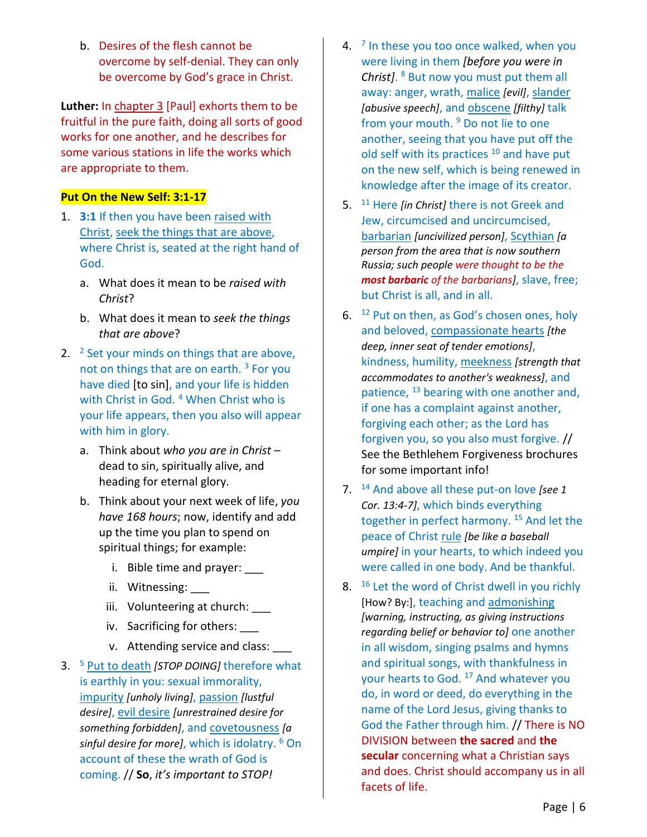b. Desires of the flesh cannot be overcome by self-denial. They can only be overcome by God's grace in Christ.

**Luther:** In chapter 3 [Paul] exhorts them to be fruitful in the pure faith, doing all sorts of good works for one another, and he describes for some various stations in life the works which are appropriate to them.

## **Put On the New Self: 3:1-17**

- 1. **3:1** If then you have been raised with Christ, seek the things that are above, where Christ is, seated at the right hand of God.
	- a. What does it mean to be *raised with Christ*?
	- b. What does it mean to *seek the things that are above*?
- 2.  $2 \cdot 2$  Set your minds on things that are above, not on things that are on earth.  $3$  For you have died [to sin], and your life is hidden with Christ in God. <sup>4</sup> When Christ who is your life appears, then you also will appear with him in glory.
	- a. Think about *who you are in Christ* dead to sin, spiritually alive, and heading for eternal glory.
	- b. Think about your next week of life, *you have 168 hours*; now, identify and add up the time you plan to spend on spiritual things; for example:
		- i. Bible time and prayer:
		- ii. Witnessing:
		- iii. Volunteering at church: \_\_\_
		- iv. Sacrificing for others:
		- v. Attending service and class:
- 3. <sup>5</sup> Put to death *[STOP DOING]* therefore what is earthly in you: sexual immorality, impurity *[unholy living]*, passion *[lustful desire]*, evil desire *[unrestrained desire for something forbidden]*, and covetousness *[a sinful desire for more]*, which is idolatry. <sup>6</sup> On account of these the wrath of God is coming. // **So**, *it's important to STOP!*
- 4. <sup>7</sup> In these you too once walked, when you were living in them *[before you were in Christ]*. <sup>8</sup> But now you must put them all away: anger, wrath, malice *[evil]*, slander *[abusive speech]*, and obscene *[filthy]* talk from your mouth. <sup>9</sup> Do not lie to one another, seeing that you have put off the old self with its practices  $10$  and have put on the new self, which is being renewed in knowledge after the image of its creator.
- 5. <sup>11</sup> Here *[in Christ]* there is not Greek and Jew, circumcised and uncircumcised, barbarian *[uncivilized person]*, Scythian *[a person from the area that is now southern Russia; such people were thought to be the most barbaric of the barbarians]*, slave, free; but Christ is all, and in all.
- 6.  $12$  Put on then, as God's chosen ones, holy and beloved, compassionate hearts *[the deep, inner seat of tender emotions]*, kindness, humility, meekness *[strength that accommodates to another's weakness]*, and patience, <sup>13</sup> bearing with one another and, if one has a complaint against another, forgiving each other; as the Lord has forgiven you, so you also must forgive. // See the Bethlehem Forgiveness brochures for some important info!
- 7. <sup>14</sup> And above all these put-on love *[see 1 Cor. 13:4-7]*, which binds everything together in perfect harmony.<sup>15</sup> And let the peace of Christ rule *[be like a baseball umpire]* in your hearts, to which indeed you were called in one body. And be thankful.
- 8.  $16$  Let the word of Christ dwell in you richly [How? By:], teaching and admonishing *[warning, instructing, as giving instructions regarding belief or behavior to]* one another in all wisdom, singing psalms and hymns and spiritual songs, with thankfulness in your hearts to God. <sup>17</sup> And whatever you do, in word or deed, do everything in the name of the Lord Jesus, giving thanks to God the Father through him. // There is NO DIVISION between **the sacred** and **the secular** concerning what a Christian says and does. Christ should accompany us in all facets of life.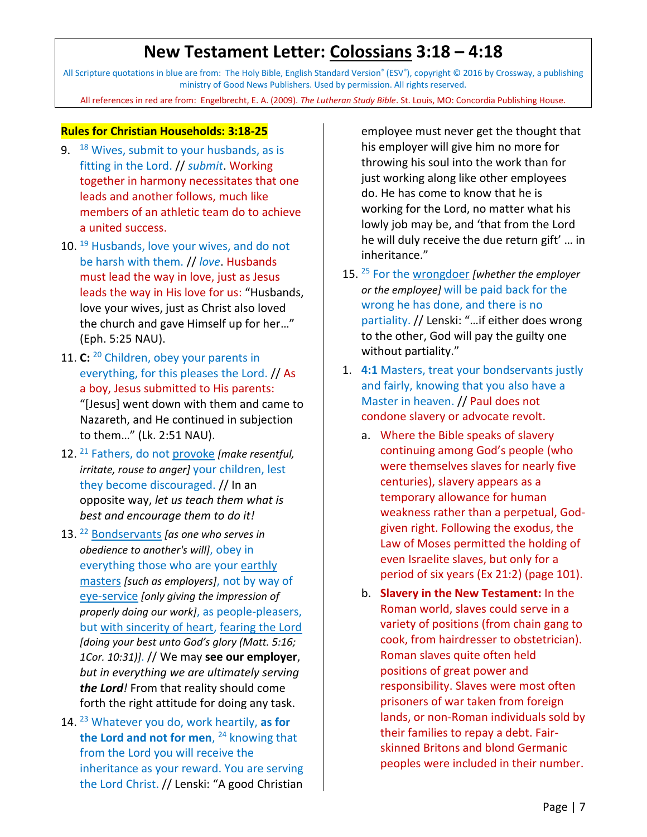# **New Testament Letter: Colossians 3:18 – 4:18**

All Scripture quotations in blue are from: The Holy Bible, English Standard Version® (ESV®), copyright © 2016 by Crossway, a publishing ministry of Good News Publishers. Used by permission. All rights reserved.

All references in red are from: Engelbrecht, E. A. (2009). *The Lutheran Study Bible*. St. Louis, MO: Concordia Publishing House.

#### **Rules for Christian Households: 3:18-25**

- 9. <sup>18</sup> Wives, submit to your husbands, as is fitting in the Lord. // *submit*. Working together in harmony necessitates that one leads and another follows, much like members of an athletic team do to achieve a united success.
- 10. <sup>19</sup> Husbands, love your wives, and do not be harsh with them. // *love*. Husbands must lead the way in love, just as Jesus leads the way in His love for us: "Husbands, love your wives, just as Christ also loved the church and gave Himself up for her…" (Eph. 5:25 NAU).
- 11. **C:** <sup>20</sup> Children, obey your parents in everything, for this pleases the Lord. // As a boy, Jesus submitted to His parents: "[Jesus] went down with them and came to Nazareth, and He continued in subjection to them…" (Lk. 2:51 NAU).
- 12. <sup>21</sup> Fathers, do not provoke *[make resentful, irritate, rouse to anger]* your children, lest they become discouraged. // In an opposite way, *let us teach them what is best and encourage them to do it!*
- 13. <sup>22</sup> Bondservants *[as one who serves in obedience to another's will]*, obey in everything those who are your earthly masters *[such as employers]*, not by way of eye-service *[only giving the impression of properly doing our work]*, as people-pleasers, but with sincerity of heart, fearing the Lord *[doing your best unto God's glory (Matt. 5:16; 1Cor. 10:31)]*. // We may **see our employer**, *but in everything we are ultimately serving the Lord!* From that reality should come forth the right attitude for doing any task.
- 14. <sup>23</sup> Whatever you do, work heartily, **as for the Lord and not for men**, <sup>24</sup> knowing that from the Lord you will receive the inheritance as your reward. You are serving the Lord Christ. // Lenski: "A good Christian

employee must never get the thought that his employer will give him no more for throwing his soul into the work than for just working along like other employees do. He has come to know that he is working for the Lord, no matter what his lowly job may be, and 'that from the Lord he will duly receive the due return gift' … in inheritance."

- 15. <sup>25</sup> For the wrongdoer *[whether the employer or the employee]* will be paid back for the wrong he has done, and there is no partiality. // Lenski: "…if either does wrong to the other, God will pay the guilty one without partiality."
- 1. **4:1** Masters, treat your bondservants justly and fairly, knowing that you also have a Master in heaven. // Paul does not condone slavery or advocate revolt.
	- a. Where the Bible speaks of slavery continuing among God's people (who were themselves slaves for nearly five centuries), slavery appears as a temporary allowance for human weakness rather than a perpetual, Godgiven right. Following the exodus, the Law of Moses permitted the holding of even Israelite slaves, but only for a period of six years (Ex 21:2) (page 101).
	- b. **Slavery in the New Testament:** In the Roman world, slaves could serve in a variety of positions (from chain gang to cook, from hairdresser to obstetrician). Roman slaves quite often held positions of great power and responsibility. Slaves were most often prisoners of war taken from foreign lands, or non-Roman individuals sold by their families to repay a debt. Fairskinned Britons and blond Germanic peoples were included in their number.